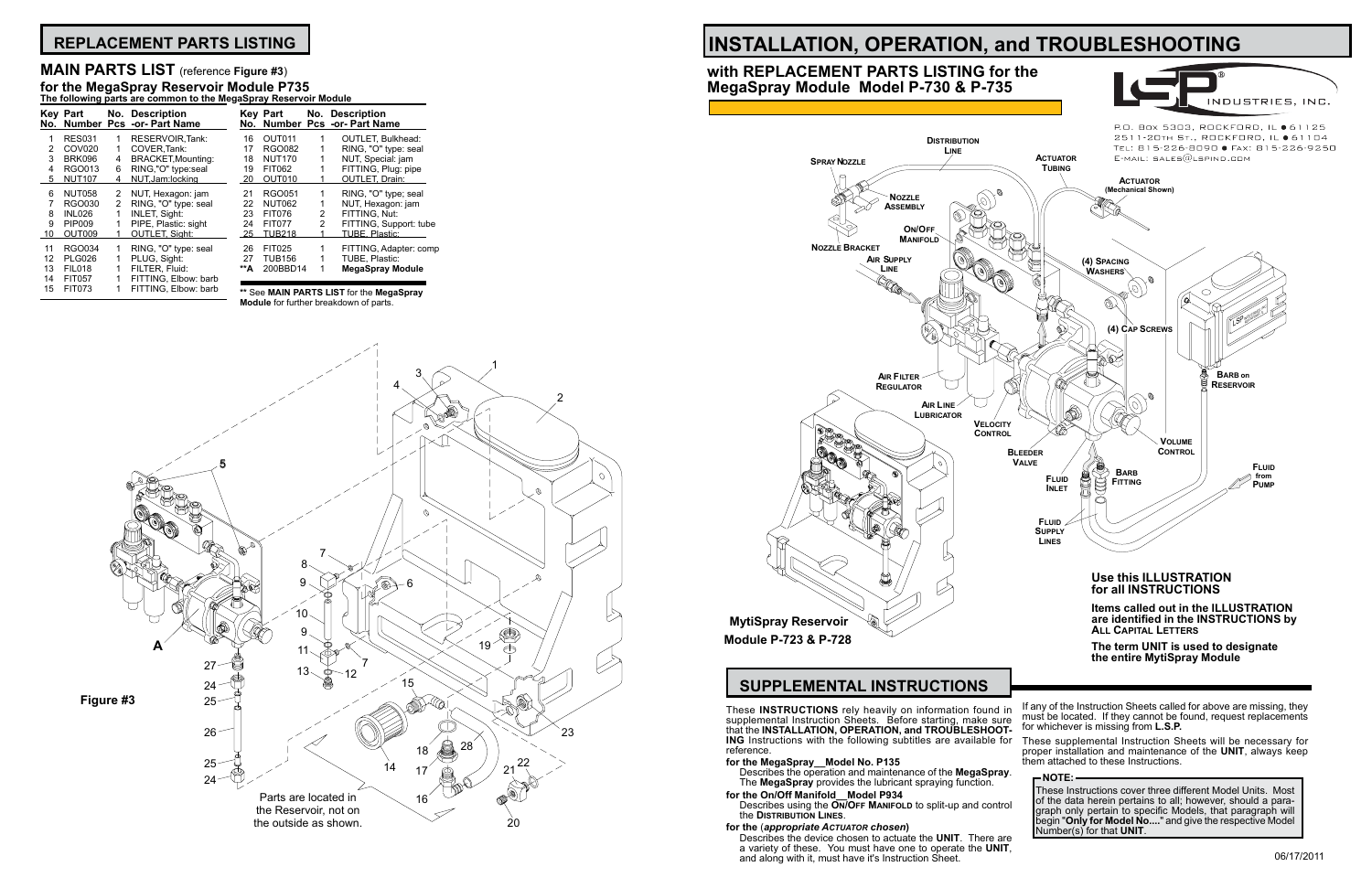These **INSTRUCTIONS** rely heavily on information found in supplemental Instruction Sheets. Before starting, make sure that the **INSTALLATION, OPERATION, and TROUBLESHOOT-ING** Instructions with the following subtitles are available for reference.

## **for the MegaSpray\_\_Model No. P135**

Describes the device chosen to actuate the **UNIT**. There are a variety of these. You must have one to operate the **UNIT**,<br>and along with it, must have it's Instruction Sheet.

- Describes the operation and maintenance of the **MegaSpray**. The **MegaSpray** provides the lubricant spraying function.
- **for the On/Off Manifold\_\_Model P934** Describes using the **On/Off Manifold** to split-up and control
- the **Distribution Lines**.

## **for the** (*appropriate Actuator chosen***)**

These Instructions cover three different Model Units. Most of the data herein pertains to all; however, should a paragraph only pertain to specific Models, that paragraph will begin "**Only for Model No....**" and give the respective Model Number(s) for that **UNIT**.

# **INSTALLATION, OPERATION, and TROUBLESHOOTING**





P.O. Box 5303, ROCKFORD, IL ● 61125 2511-20TH ST., ROCKFORD, IL ● 61104 TEL: 815-226-8090 · FAX: 815-226-9250

# **SUPPLEMENTAL INSTRUCTIONS**

# **with REPLACEMENT PARTS LISTING for the MegaSpray Module Model P-730 & P-735**

These supplemental Instruction Sheets will be necessary for proper installation and maintenance of the **UNIT**, always keep them attached to these Instructions.

## **NOTE:**

# **REPLACEMENT PARTS LISTING**

|     | . .                |   |                                              |     |               |                |                                                  |
|-----|--------------------|---|----------------------------------------------|-----|---------------|----------------|--------------------------------------------------|
| No. | Key Part           |   | No. Description<br>Number Pcs -or- Part Name |     | Key Part      |                | No. Description<br>No. Number Pcs -or- Part Name |
| 1   | <b>RES031</b>      |   | RESERVOIR, Tank:                             | 16  | OUT011        |                | <b>OUTLET, Bulkhead:</b>                         |
| 2   | COV <sub>020</sub> | 1 | COVER.Tank:                                  | 17  | <b>RGO082</b> |                | RING, "O" type: seal                             |
| 3   | <b>BRK096</b>      | 4 | BRACKET, Mounting:                           | 18  | <b>NUT170</b> |                | NUT, Special: jam                                |
| 4   | RGO013             | 6 | RING,"O" type:seal                           | 19  | <b>FIT062</b> |                | FITTING, Plug: pipe                              |
| 5   | <b>NUT107</b>      | 4 | NUT, Jam: locking                            | 20  | OUT010        |                | <b>OUTLET, Drain:</b>                            |
| 6   | <b>NUT058</b>      | 2 | NUT, Hexagon: jam                            | 21  | <b>RGO051</b> |                | RING, "O" type; seal                             |
|     | RGO030             | 2 | RING, "O" type: seal                         | 22  | <b>NUT062</b> |                | NUT, Hexagon: jam                                |
| 8   | <b>INL026</b>      |   | <b>INLET, Sight:</b>                         | 23  | <b>FIT076</b> | 2              | FITTING, Nut:                                    |
| 9   | <b>PIP009</b>      |   | PIPE, Plastic: sight                         | 24  | <b>FIT077</b> | $\overline{2}$ | FITTING, Support: tube                           |
| 10  | OUT009             |   | <b>OUTLET, Sight:</b>                        | 25  | <b>TUB218</b> |                | TUBE, Plastic:                                   |
| 11  | RGO034             |   | RING, "O" type: seal                         | 26  | <b>FIT025</b> |                | FITTING, Adapter: comp                           |
| 12  | <b>PLG026</b>      |   | PLUG, Sight:                                 | 27  | <b>TUB156</b> |                | TUBE. Plastic:                                   |
| 13  | <b>FIL018</b>      |   | FILTER, Fluid:                               | **A | 200BBD14      |                | <b>MegaSpray Module</b>                          |
| 14  | <b>FIT057</b>      |   | FITTING. Elbow: barb                         |     |               |                |                                                  |
| 15  | <b>FIT073</b>      |   | FITTING, Elbow: barb                         |     |               |                | <b>** Soo MAIN DADTS LIST for the MonaSpray</b>  |



# 24 FIT077 2 FITTING, Support: tube

## **MAIN PARTS LIST** (reference **Figure #3**) **for the MegaSpray Reservoir Module P735 The following parts are common to the MegaSpray Reservoir Module**

**\*\*** See **MAIN PARTS LIST** for the **MegaSpray** 

**Module** for further breakdown of parts.